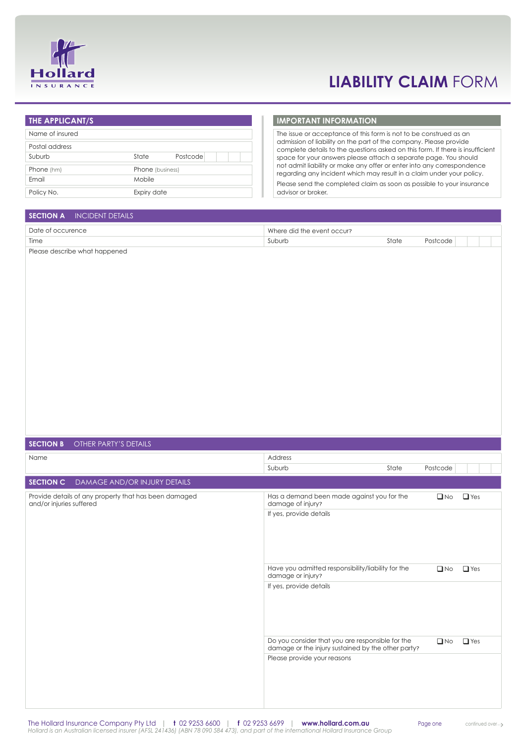

# **liability claim** form

## **The applicant/s** Name of insured Postal address Suburb State Postcode Phone (hm) Phone (business) Email Mobile Policy No. **Expiry date**

### **Important information**

The issue or acceptance of this form is not to be construed as an admission of liability on the part of the company. Please provide complete details to the questions asked on this form. If there is insufficient space for your answers please attach a separate page. You should not admit liability or make any offer or enter into any correspondence regarding any incident which may result in a claim under your policy. Please send the completed claim as soon as possible to your insurance advisor or broker.

### **SECTION A INCIDENT DETAILS**

| Date of occurence | Where did the event occur? |       |          |
|-------------------|----------------------------|-------|----------|
| Time              | ,uburh                     | State | Postcode |

Please describe what happened

| <b>SECTION B</b><br>OTHER PARTY'S DETAILS                                         |                                                                                                        |       |              |            |
|-----------------------------------------------------------------------------------|--------------------------------------------------------------------------------------------------------|-------|--------------|------------|
| Name                                                                              | Address                                                                                                |       |              |            |
|                                                                                   | Suburb                                                                                                 | State | Postcode     |            |
| SECTION C<br>DAMAGE AND/OR INJURY DETAILS                                         |                                                                                                        |       |              |            |
| Provide details of any property that has been damaged<br>and/or injuries suffered | Has a demand been made against you for the<br>damage of injury?                                        |       | $\Box$ No    | $\Box$ Yes |
|                                                                                   | If yes, provide details                                                                                |       |              |            |
|                                                                                   | Have you admitted responsibility/liability for the<br>damage or injury?                                |       | $\Box$ No    | $\Box$ Yes |
|                                                                                   | If yes, provide details                                                                                |       |              |            |
|                                                                                   | Do you consider that you are responsible for the<br>damage or the injury sustained by the other party? |       | $\square$ No | $\Box$ Yes |
|                                                                                   | Please provide your reasons                                                                            |       |              |            |